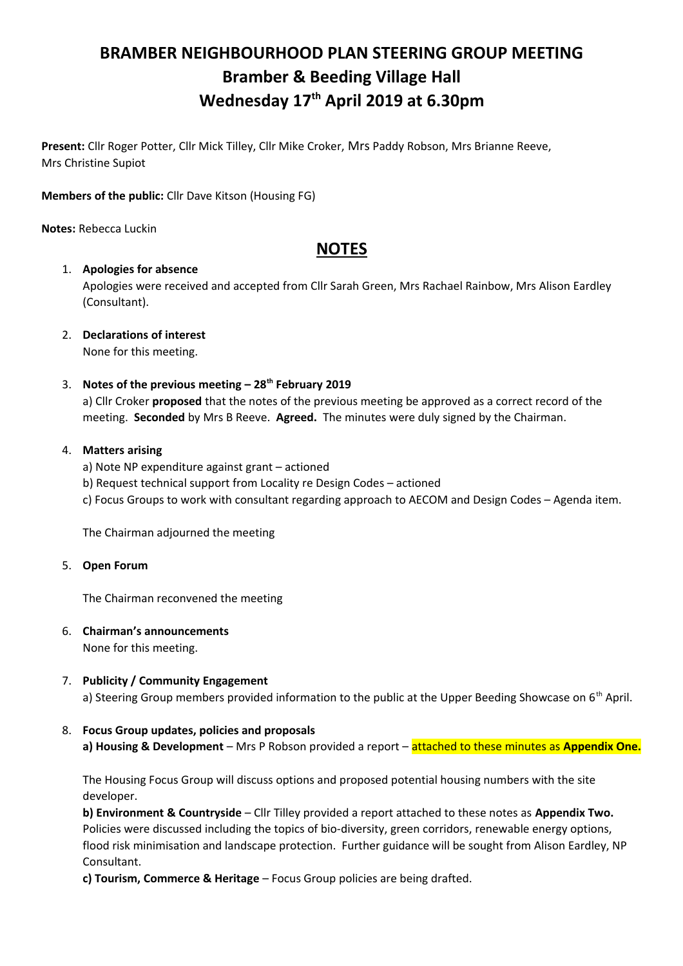# **BRAMBER NEIGHBOURHOOD PLAN STEERING GROUP MEETING Bramber & Beeding Village Hall Wednesday 17th April 2019 at 6.30pm**

**Present:** Cllr Roger Potter, Cllr Mick Tilley, Cllr Mike Croker, Mrs Paddy Robson, Mrs Brianne Reeve, Mrs Christine Supiot

**Members of the public:** Cllr Dave Kitson (Housing FG)

**Notes:** Rebecca Luckin

# **NOTES**

#### 1. **Apologies for absence**

Apologies were received and accepted from Cllr Sarah Green, Mrs Rachael Rainbow, Mrs Alison Eardley (Consultant).

2. **Declarations of interest**

None for this meeting.

# 3. **Notes of the previous meeting – 28th February 2019**

a) Cllr Croker **proposed** that the notes of the previous meeting be approved as a correct record of the meeting. **Seconded** by Mrs B Reeve. **Agreed.** The minutes were duly signed by the Chairman.

#### 4. **Matters arising**

- a) Note NP expenditure against grant actioned
- b) Request technical support from Locality re Design Codes actioned
- c) Focus Groups to work with consultant regarding approach to AECOM and Design Codes Agenda item.

The Chairman adjourned the meeting

5. **Open Forum**

The Chairman reconvened the meeting

- 6. **Chairman's announcements**  None for this meeting.
- 7. **Publicity / Community Engagement**  a) Steering Group members provided information to the public at the Upper Beeding Showcase on  $6<sup>th</sup>$  April.

# 8. **Focus Group updates, policies and proposals**

**a) Housing & Development** – Mrs P Robson provided a report – attached to these minutes as **Appendix One.**

The Housing Focus Group will discuss options and proposed potential housing numbers with the site developer.

**b) Environment & Countryside** – Cllr Tilley provided a report attached to these notes as **Appendix Two.** Policies were discussed including the topics of bio-diversity, green corridors, renewable energy options, flood risk minimisation and landscape protection. Further guidance will be sought from Alison Eardley, NP Consultant.

**c) Tourism, Commerce & Heritage** – Focus Group policies are being drafted.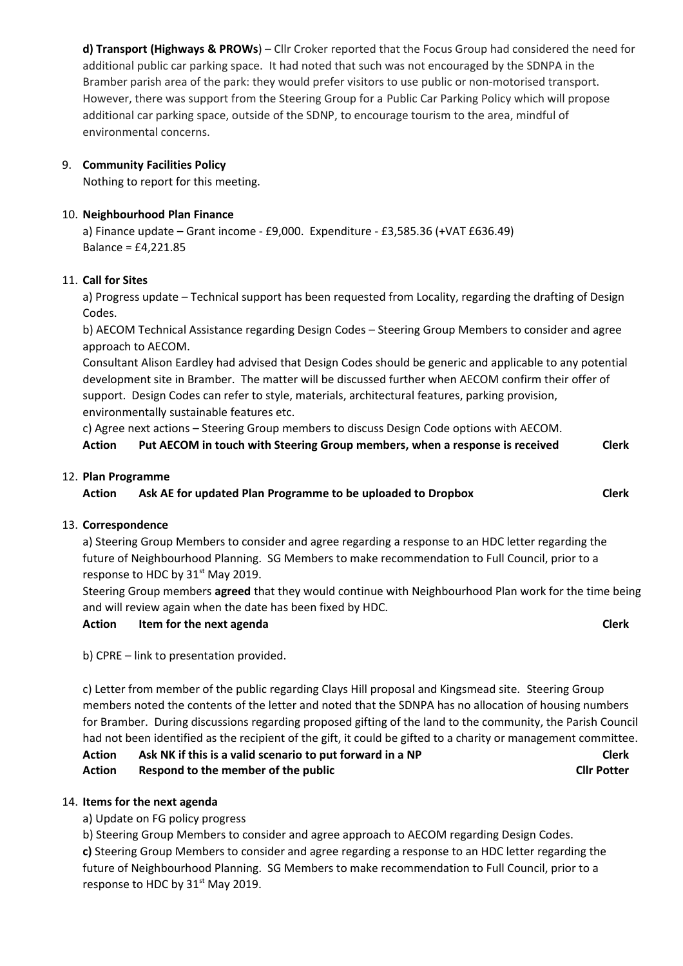**d) Transport (Highways & PROWs**) – Cllr Croker reported that the Focus Group had considered the need for additional public car parking space. It had noted that such was not encouraged by the SDNPA in the Bramber parish area of the park: they would prefer visitors to use public or non-motorised transport. However, there was support from the Steering Group for a Public Car Parking Policy which will propose additional car parking space, outside of the SDNP, to encourage tourism to the area, mindful of environmental concerns.

# 9. **Community Facilities Policy**

Nothing to report for this meeting.

# 10. **Neighbourhood Plan Finance**

a) Finance update – Grant income - £9,000. Expenditure - £3,585.36 (+VAT £636.49) Balance = £4,221.85

# 11. **Call for Sites**

a) Progress update – Technical support has been requested from Locality, regarding the drafting of Design Codes.

b) AECOM Technical Assistance regarding Design Codes – Steering Group Members to consider and agree approach to AECOM.

Consultant Alison Eardley had advised that Design Codes should be generic and applicable to any potential development site in Bramber. The matter will be discussed further when AECOM confirm their offer of support. Design Codes can refer to style, materials, architectural features, parking provision, environmentally sustainable features etc.

c) Agree next actions – Steering Group members to discuss Design Code options with AECOM.

| Action | Put AECOM in touch with Steering Group members, when a response is received | <b>Clerk</b> |
|--------|-----------------------------------------------------------------------------|--------------|
|        |                                                                             |              |

#### 12. **Plan Programme**

**Action Ask AE for updated Plan Programme to be uploaded to Dropbox Clerk**

# 13. **Correspondence**

a) Steering Group Members to consider and agree regarding a response to an HDC letter regarding the future of Neighbourhood Planning. SG Members to make recommendation to Full Council, prior to a response to HDC by 31<sup>st</sup> May 2019.

Steering Group members **agreed** that they would continue with Neighbourhood Plan work for the time being and will review again when the date has been fixed by HDC.

# **Action Item for the next agenda Clerk**

b) CPRE – link to presentation provided.

c) Letter from member of the public regarding Clays Hill proposal and Kingsmead site.Steering Group members noted the contents of the letter and noted that the SDNPA has no allocation of housing numbers for Bramber.During discussions regarding proposed gifting of the land to the community, the Parish Council had not been identified as the recipient of the gift, it could be gifted to a charity or management committee.

**Action Ask NK if this is a valid scenario to put forward in a NP Clerk Action Respond to the member of the public Cllr Potter**

# 14. **Items for the next agenda**

a) Update on FG policy progress

b) Steering Group Members to consider and agree approach to AECOM regarding Design Codes.

**c)** Steering Group Members to consider and agree regarding a response to an HDC letter regarding the future of Neighbourhood Planning. SG Members to make recommendation to Full Council, prior to a response to HDC by 31<sup>st</sup> May 2019.